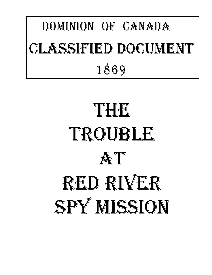## DOMINION OF CANADA 1869 LASSIFIED DOCUMENT

# THE TROUBLE AT Red River SPY MISSION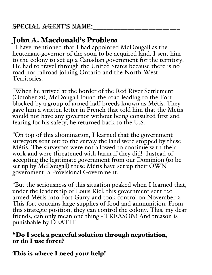## John A. Macdonald's Problem

 $\mathrm{H}$  have mentioned that I had appointed McDougall as the lieutenant-governor of the soon to be acquired land. I sent him to the colony to set up a Canadian government for the territory. He had to travel through the United States because there is no road nor railroad joining Ontario and the North-West Territories.

"When he arrived at the border of the Red River Settlement (October 21), McDougall found the road leading to the Fort blocked by a group of armed half-breeds known as Métis. They gave him a written letter in French that told him that the Métis would not have any governor without being consulted first and fearing for his safety, he returned back to the U.S.

"On top of this abomination, I learned that the government surveyors sent out to the survey the land were stopped by these Métis. The surveyors were not allowed to continue with their work and were threatened with harm if they did! Instead of accepting the legitimate government from our Dominion (to be set up by McDougall) these Métis have set up their OWN government, a Provisional Government.

"But the seriousness of this situation peaked when I learned that, under the leadership of Louis Riel, this government sent 120 armed Métis into Fort Garry and took control on November 2. This fort contains large supplies of food and ammunition. From this strategic position, they can control the colony. This, my dear friends, can only mean one thing - TREASON! And treason is punishable by DEATH!

#### "Do I seek a peaceful solution through negotiation, or do I use force?

### This is where I need your help!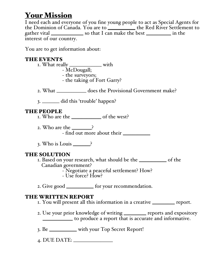## **Your Mission**

I need each and everyone of you fine young people to act as Special Agents for the Dominion of Canada. You are to \_\_\_\_\_\_\_\_\_\_\_ the Red River Settlement to gather vital \_\_\_\_\_\_\_\_\_\_\_\_\_ so that I can make the best \_\_\_\_\_\_\_\_\_\_ in the interest of our country.

You are to get information about:

#### THE EVENTS

- 1. What really \_\_\_\_\_\_\_\_\_\_\_\_\_ with McDougall;
	-
	-
	- the taking of Fort Garry?

2. What \_\_\_\_\_\_\_\_\_\_\_\_ does the Provisional Government make?

3. \_\_\_\_\_\_\_ did this 'trouble' happen?

#### THE PEOPLE

- 1. Who are the \_\_\_\_\_\_\_\_\_\_\_\_ of the west?
- 2. Who are the \_\_\_\_\_\_? - find out more about their \_\_\_\_\_\_\_\_\_\_\_
- 3. Who is Louis \_\_\_\_\_\_\_?

#### THE SOLUTION

- 1. Based on your research, what should be the \_\_\_\_\_\_\_\_\_\_\_ of the Canadian government?
	- Negotiate a peaceful settlement? How?
		- Use force? How?
- 2. Give good \_\_\_\_\_\_\_\_\_\_\_\_ for your recommendation.

#### THE WRITTEN REPORT

1. You will present all this information in a creative \_\_\_\_\_\_\_\_\_ report.

- 2. Use your prior knowledge of writing \_\_\_\_\_\_\_\_\_ reports and expository \_\_\_\_\_\_\_\_\_\_\_\_ to produce a report that is accurate and informative.
- 3. Be \_\_\_\_\_\_\_\_\_\_\_ with your Top Secret Report!
- 4. DUE DATE: \_\_\_\_\_\_\_\_\_\_\_\_\_\_\_\_